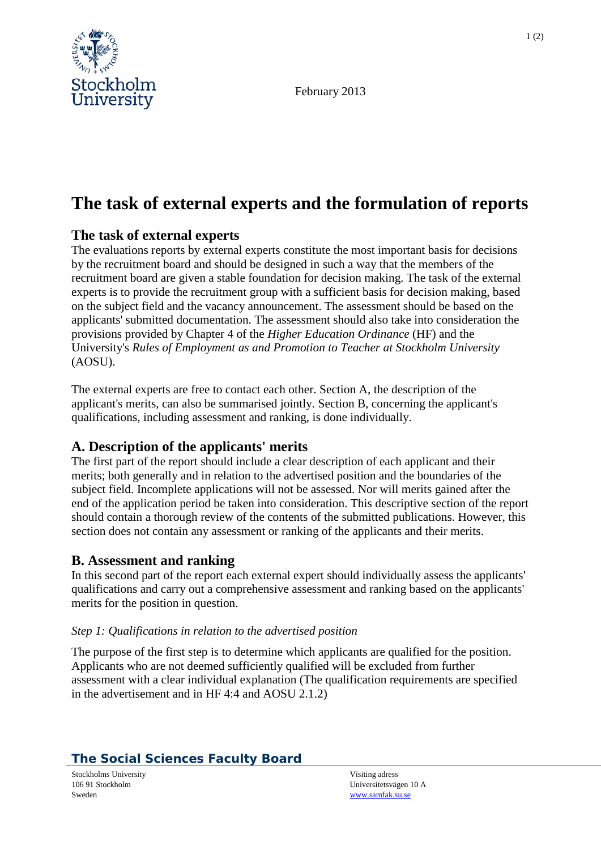

February 2013

# **The task of external experts and the formulation of reports**

## **The task of external experts**

The evaluations reports by external experts constitute the most important basis for decisions by the recruitment board and should be designed in such a way that the members of the recruitment board are given a stable foundation for decision making. The task of the external experts is to provide the recruitment group with a sufficient basis for decision making, based on the subject field and the vacancy announcement. The assessment should be based on the applicants' submitted documentation. The assessment should also take into consideration the provisions provided by Chapter 4 of the *Higher Education Ordinance* (HF) and the University's *Rules of Employment as and Promotion to Teacher at Stockholm University* (AOSU).

The external experts are free to contact each other. Section A, the description of the applicant's merits, can also be summarised jointly. Section B, concerning the applicant's qualifications, including assessment and ranking, is done individually.

### **A. Description of the applicants' merits**

The first part of the report should include a clear description of each applicant and their merits; both generally and in relation to the advertised position and the boundaries of the subject field. Incomplete applications will not be assessed. Nor will merits gained after the end of the application period be taken into consideration. This descriptive section of the report should contain a thorough review of the contents of the submitted publications. However, this section does not contain any assessment or ranking of the applicants and their merits.

### **B. Assessment and ranking**

In this second part of the report each external expert should individually assess the applicants' qualifications and carry out a comprehensive assessment and ranking based on the applicants' merits for the position in question.

#### *Step 1: Qualifications in relation to the advertised position*

The purpose of the first step is to determine which applicants are qualified for the position. Applicants who are not deemed sufficiently qualified will be excluded from further assessment with a clear individual explanation (The qualification requirements are specified in the advertisement and in HF 4:4 and AOSU 2.1.2)

## **The Social Sciences Faculty Board**

Stockholms University **Stockholms University** Visiting adress 106 91 Stockholm Sweden

Universitetsvägen 10 A [www.samfak.su.se](http://www.samfak.su.se/)